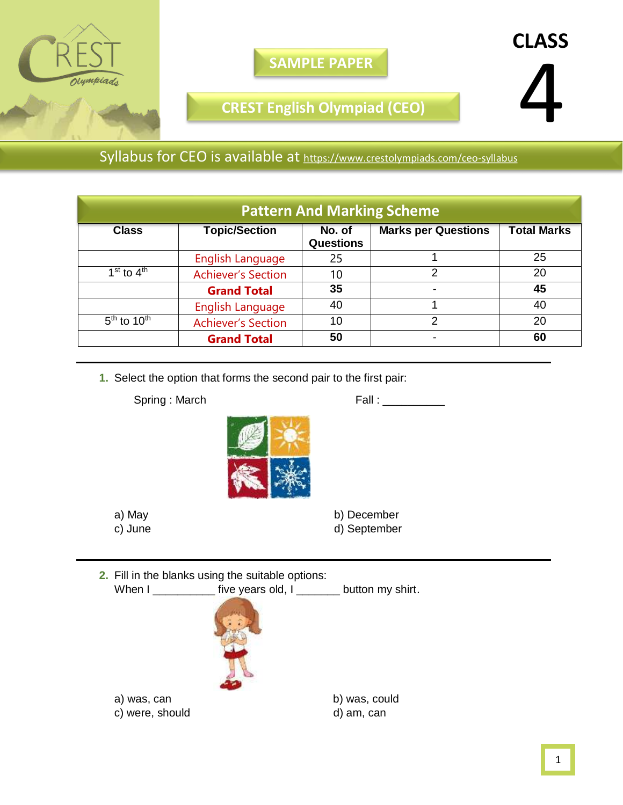

**SAMPLE PAPER**

**CREST English Olympiad (CEO)**

Syllabus for CEO is available at <https://www.crestolympiads.com/ceo-syllabus>

| <b>Pattern And Marking Scheme</b> |                           |                            |                            |                    |  |  |
|-----------------------------------|---------------------------|----------------------------|----------------------------|--------------------|--|--|
| <b>Class</b>                      | <b>Topic/Section</b>      | No. of<br><b>Questions</b> | <b>Marks per Questions</b> | <b>Total Marks</b> |  |  |
|                                   | English Language          | 25                         |                            | 25                 |  |  |
| $1st$ to $4th$                    | <b>Achiever's Section</b> | 10                         | 2                          | 20                 |  |  |
|                                   | <b>Grand Total</b>        | 35                         |                            | 45                 |  |  |
|                                   | <b>English Language</b>   | 40                         |                            | 40                 |  |  |
| $5th$ to 10 <sup>th</sup>         | <b>Achiever's Section</b> | 10                         | っ                          | 20                 |  |  |
|                                   | <b>Grand Total</b>        | 50                         |                            | 60                 |  |  |

**1.** Select the option that forms the second pair to the first pair:

Spring : March Fall : \_\_\_\_\_\_\_\_\_



 a) May b) December c) June d) September

| 2. Fill in the blanks using the suitable options: |                                                                    |               |  |  |
|---------------------------------------------------|--------------------------------------------------------------------|---------------|--|--|
|                                                   | When I ______________ five years old, I _________ button my shirt. |               |  |  |
|                                                   |                                                                    |               |  |  |
| was, can<br>a)                                    |                                                                    | b) was, could |  |  |

c) were, should d) am, can

**CLASS**

4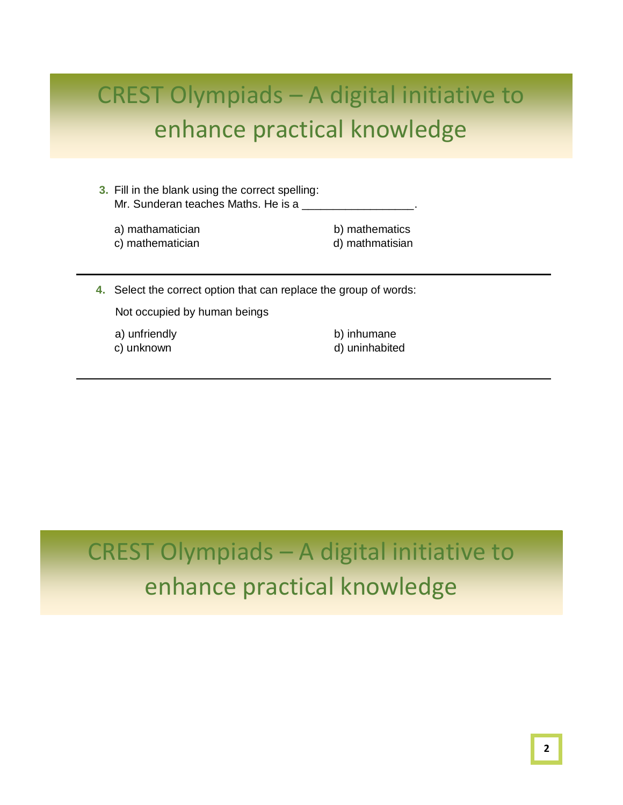- **3.** Fill in the blank using the correct spelling: Mr. Sunderan teaches Maths. He is a  $\_$ 
	- a) mathamatician b) mathematics

c) mathematician d) mathmatisian

**4.** Select the correct option that can replace the group of words:

Not occupied by human beings

a) unfriendly b) inhumane

c) unknown d) uninhabited

### CREST Olympiads – A digital initiative to enhance practical knowledge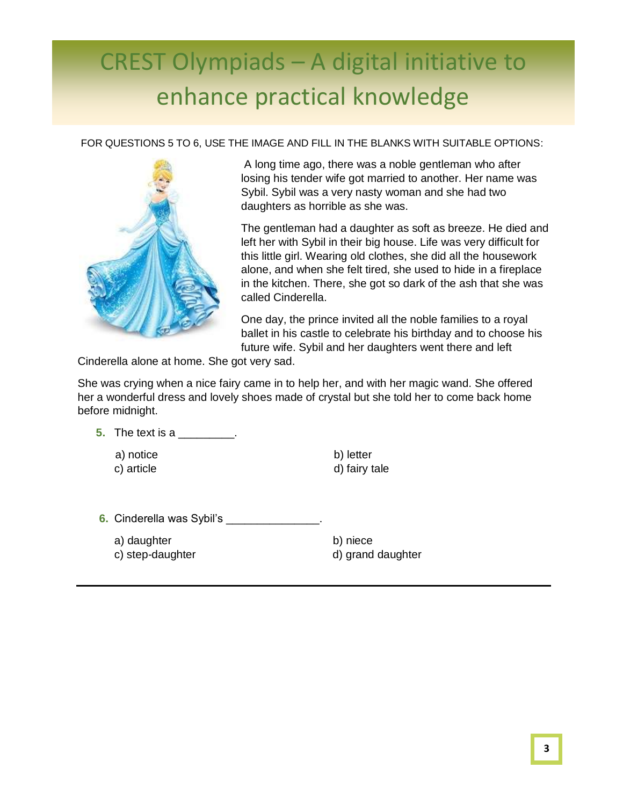FOR QUESTIONS 5 TO 6, USE THE IMAGE AND FILL IN THE BLANKS WITH SUITABLE OPTIONS:



A long time ago, there was a noble gentleman who after losing his tender wife got married to another. Her name was Sybil. Sybil was a very nasty woman and she had two daughters as horrible as she was.

The gentleman had a daughter as soft as breeze. He died and left her with Sybil in their big house. Life was very difficult for this little girl. Wearing old clothes, she did all the housework alone, and when she felt tired, she used to hide in a fireplace in the kitchen. There, she got so dark of the ash that she was called Cinderella.

One day, the prince invited all the noble families to a royal ballet in his castle to celebrate his birthday and to choose his future wife. Sybil and her daughters went there and left

Cinderella alone at home. She got very sad.

She was crying when a nice fairy came in to help her, and with her magic wand. She offered her a wonderful dress and lovely shoes made of crystal but she told her to come back home before midnight.

**5.** The text is a metal of  $\overline{\phantom{a}}$ .

a) notice b) letter

c) article d) fairy tale

**6.** Cinderella was Sybil's **and Contact Contact Contact Contact Contact Contact Contact Contact Contact Contact Contact Contact Contact Contact Contact Contact Contact Contact Contact Contact Contact Contact Contact Conta** 

- a) daughter b) niece
- 

c) step-daughter discussed and daughter d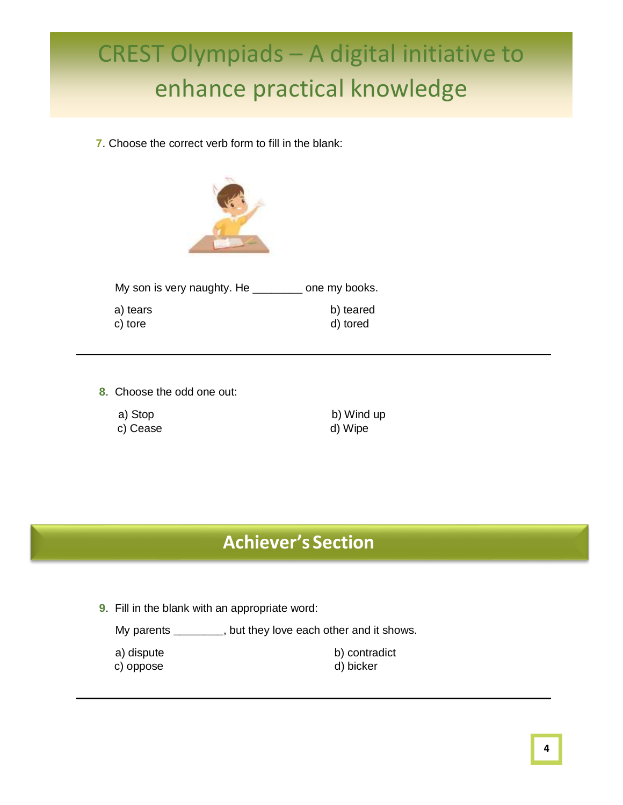**7**. Choose the correct verb form to fill in the blank:



| My son is very naughty. He | one my books.         |
|----------------------------|-----------------------|
| a) tears<br>c) tore        | b) teared<br>d) tored |

- **8**. Choose the odd one out:
	-
	-

a) Stop b) Wind up c) Cease d) Wipe

#### **Achiever's Section**

**9**. Fill in the blank with an appropriate word:

My parents **\_\_\_\_\_\_\_\_**, but they love each other and it shows.

a) dispute b) contradict c) oppose d) bicker